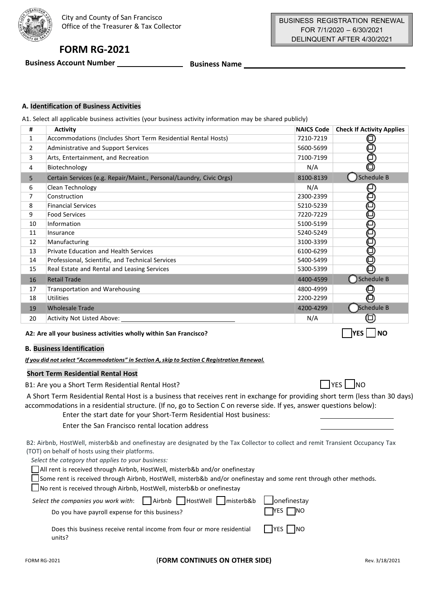

# **FORM RG-2021**

**Business Account Number Business Name** 

# **A. Identification of Business Activities**

A1. Select all applicable business activities (your business activity information may be shared publicly)

| #              | <b>Activity</b>                                                     | <b>NAICS Code</b> | <b>Check If Activity Applies</b> |
|----------------|---------------------------------------------------------------------|-------------------|----------------------------------|
| $\mathbf{1}$   | Accommodations (Includes Short Term Residential Rental Hosts)       | 7210-7219         |                                  |
| 2              | Administrative and Support Services                                 | 5600-5699         |                                  |
| 3              | Arts, Entertainment, and Recreation                                 | 7100-7199         |                                  |
| 4              | Biotechnology                                                       | N/A               |                                  |
| 5              | Certain Services (e.g. Repair/Maint., Personal/Laundry, Civic Orgs) | 8100-8139         | Schedule B)                      |
| 6              | Clean Technology                                                    | N/A               |                                  |
| $\overline{7}$ | Construction                                                        | 2300-2399         |                                  |
| 8              | <b>Financial Services</b>                                           | 5210-5239         |                                  |
| 9              | <b>Food Services</b>                                                | 7220-7229         |                                  |
| 10             | Information                                                         | 5100-5199         |                                  |
| 11             | Insurance                                                           | 5240-5249         |                                  |
| 12             | Manufacturing                                                       | 3100-3399         |                                  |
| 13             | <b>Private Education and Health Services</b>                        | 6100-6299         |                                  |
| 14             | Professional, Scientific, and Technical Services                    | 5400-5499         |                                  |
| 15             | Real Estate and Rental and Leasing Services                         | 5300-5399         | O                                |
| 16             | <b>Retail Trade</b>                                                 | 4400-4599         | ◯ Schedule B                     |
| 17             | <b>Transportation and Warehousing</b>                               | 4800-4999         |                                  |
| 18             | Utilities                                                           | 2200-2299         | O                                |
| 19             | <b>Wholesale Trade</b>                                              | 4200-4299         | Schedule B                       |
| 20             | <b>Activity Not Listed Above:</b>                                   | N/A               |                                  |

### **A2: Are all your business activities wholly within San Francisco?**

### **B. Business Identification**

*If you did notselect "Accommodations" in Section A,skip to Section C Registration Renewal.*

# **Short Term Residential Rental Host**

B1: Are you a Short Term Residential Rental Host?

A Short Term Residential Rental Host is a business that receives rent in exchange for providing short term (less than 30 days) accommodations in a residential structure. (If no, go to Section C on reverse side. If yes, answer questions below):

| Enter the start date for your Short-Term Residential Host business: |  |
|---------------------------------------------------------------------|--|
|---------------------------------------------------------------------|--|

Enter the San Francisco rental location address

B2: Airbnb, HostWell, misterb&b and onefinestay are designated by the Tax Collector to collect and remit Transient Occupancy Tax (TOT) on behalf of hosts using their platforms.

*Select the category that applies to your business:*

☐ All rent is received through Airbnb, HostWell, misterb&b and/or onefinestay

☐ Some rent is received through Airbnb, HostWell, misterb&b and/or onefinestay and some rent through other methods.

☐ No rent is received through Airbnb, HostWell, misterb&b or onefinestay

| Select the companies you work with: $\Box$ Airbnb $\Box$ HostWell $\Box$ misterb&b $\Box$ onefinestay<br>Do you have payroll expense for this business? | $\Box$ YES $\Box$ NO |
|---------------------------------------------------------------------------------------------------------------------------------------------------------|----------------------|
| Does this business receive rental income from four or more residential<br>units?                                                                        | $\Box$ YES $\Box$ NO |

☐ ☐ **YES NO**

 $\Box$  YES  $\Box$  NO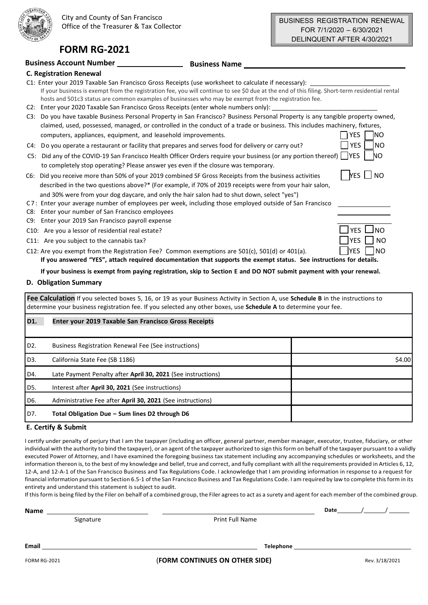$\overline{\phantom{0}}$ 

**INO** 

# **FORM RG-2021**

# **Business Account Number Business Name**

| <b>C. Registration Renewal</b>                                                                                                                                                                                                                                   |                   |
|------------------------------------------------------------------------------------------------------------------------------------------------------------------------------------------------------------------------------------------------------------------|-------------------|
| C1: Enter your 2019 Taxable San Francisco Gross Receipts (use worksheet to calculate if necessary):                                                                                                                                                              |                   |
| If your business is exempt from the registration fee, you will continue to see \$0 due at the end of this filing. Short-term residential rental<br>hosts and 501c3 status are common examples of businesses who may be exempt from the registration fee.         |                   |
| Enter your 2020 Taxable San Francisco Gross Receipts (enter whole numbers only):<br>C2:                                                                                                                                                                          |                   |
| Do you have taxable Business Personal Property in San Francisco? Business Personal Property is any tangible property owned,<br>C3:<br>claimed, used, possessed, managed, or controlled in the conduct of a trade or business. This includes machinery, fixtures, |                   |
| computers, appliances, equipment, and leasehold improvements.                                                                                                                                                                                                    | YES<br>INO        |
| Do you operate a restaurant or facility that prepares and serves food for delivery or carry out?<br>C4:                                                                                                                                                          | <b>YES</b><br>INO |
| Did any of the COVID-19 San Francisco Health Officer Orders require your business (or any portion thereof)<br>CS:<br>to completely stop operating? Please answer yes even if the closure was temporary.                                                          | <b>IYES</b><br>NO |
| C6: Did you receive more than 50% of your 2019 combined SF Gross Receipts from the business activities<br>described in the two questions above?* (For example, if 70% of 2019 receipts were from your hair salon,                                                | $\Box$ NO<br>YES. |
| and 30% were from your dog daycare, and only the hair salon had to shut down, select "yes")<br>C7: Enter your average number of employees per week, including those employed outside of San Francisco<br>Enter your number of San Francisco employees<br>C8:     |                   |
| Enter your 2019 San Francisco payroll expense<br>C9:                                                                                                                                                                                                             |                   |
| C10: Are you a lessor of residential real estate?                                                                                                                                                                                                                |                   |
| C11: Are you subject to the cannabis tax?                                                                                                                                                                                                                        |                   |

C12: Are you exempt from the Registration Fee? Common exemptions are  $501(c)$ ,  $501(d)$  or  $401(a)$ .  $YES$ 

If you answered "YES", attach required documentation that supports the exempt status. See instructions for details.

If your business is exempt from paying registration, skip to Section E and DO NOT submit payment with your renewal.

### **D. Obligation Summary**

**Fee Calculation** If you selected boxes 5, 16, or 19 as your Business Activity in Section A, use **Schedule B** in the instructions to determine your business registration fee. If you selected any other boxes, use **Schedule A** to determine your fee.

| D1.              | <b>Enter your 2019 Taxable San Francisco Gross Receipts</b>  |        |
|------------------|--------------------------------------------------------------|--------|
| D <sub>2</sub> . | Business Registration Renewal Fee (See instructions)         |        |
| D3.              | California State Fee (SB 1186)                               | \$4.00 |
| D4.              | Late Payment Penalty after April 30, 2021 (See instructions) |        |
| D5.              | Interest after April 30, 2021 (See instructions)             |        |
| D6.              | Administrative Fee after April 30, 2021 (See instructions)   |        |
| D7.              | Total Obligation Due - Sum lines D2 through D6               |        |

# **E. Certify & Submit**

I certify under penalty of perjury that I am the taxpayer (including an officer, general partner, member manager, executor, trustee, fiduciary, or other individual with the authority to bind the taxpayer), or an agent of the taxpayer authorized to sign thisform on behalf of the taxpayer pursuant to a validly executed Power of Attorney, and I have examined the foregoing business tax statement including any accompanying schedules or worksheets, and the information thereon is, to the best of my knowledge and belief, true and correct, and fully compliant with all the requirements provided in Articles 6, 12, 12-A, and 12-A-1 of the San Francisco Business and Tax Regulations Code. I acknowledge that I am providing information in response to a request for financial information pursuant to Section 6.5-1 of the San Francisco Business and Tax Regulations Code. I am required by law to complete this form in its entirety and understand this statement is subject to audit.

If this form is being filed by the Filer on behalf of a combined group, the Filer agrees to act as a surety and agent for each member of the combined group.

**Name**

Signature **Print Full Name** 

Date

**Email Telephone Telephone Telephone Telephone Telephone Telephone Telephone Telephone Telephone Telephone Telephone Telephone Telephone Telephone Telephone Telephone Telephone Telephone**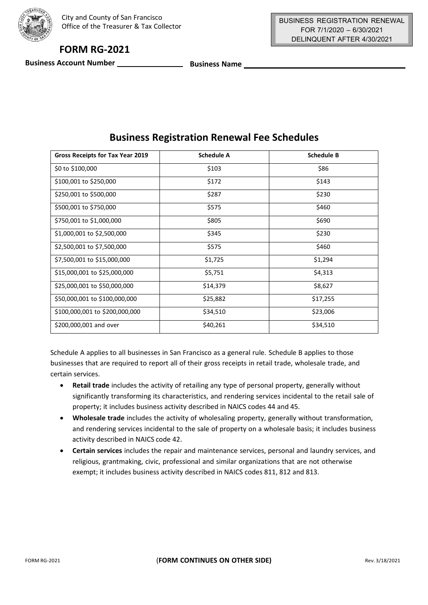

# **FORM RG-2021**

**Business Account Number Business Name Business Name** 

| Gross Receipts for Tax Year 2019 | <b>Schedule A</b> | <b>Schedule B</b> |
|----------------------------------|-------------------|-------------------|
| \$0 to \$100,000                 | \$103             | \$86              |
| \$100,001 to \$250,000           | \$172             | \$143             |
| \$250,001 to \$500,000           | \$287             | \$230             |
| \$500,001 to \$750,000           | \$575             | \$460             |
| \$750,001 to \$1,000,000         | \$805             | \$690             |
| \$1,000,001 to \$2,500,000       | \$345             | \$230             |
| \$2,500,001 to \$7,500,000       | \$575             | \$460             |
| \$7,500,001 to \$15,000,000      | \$1,725           | \$1,294           |
| \$15,000,001 to \$25,000,000     | \$5,751           | \$4,313           |
| \$25,000,001 to \$50,000,000     | \$14,379          | \$8,627           |
| \$50,000,001 to \$100,000,000    | \$25,882          | \$17,255          |
| \$100,000,001 to \$200,000,000   | \$34,510          | \$23,006          |
| \$200,000,001 and over           | \$40,261          | \$34,510          |

# **Business Registration Renewal Fee Schedules**

Schedule A applies to all businesses in San Francisco as a general rule. Schedule B applies to those businesses that are required to report all of their gross receipts in retail trade, wholesale trade, and certain services.

- **Retail trade** includes the activity of retailing any type of personal property, generally without significantly transforming its characteristics, and rendering services incidental to the retail sale of property; it includes business activity described in NAICS codes 44 and 45.
- **Wholesale trade** includes the activity of wholesaling property, generally without transformation, and rendering services incidental to the sale of property on a wholesale basis; it includes business activity described in NAICS code 42.
- **Certain services** includes the repair and maintenance services, personal and laundry services, and religious, grantmaking, civic, professional and similar organizations that are not otherwise exempt; it includes business activity described in NAICS codes 811, 812 and 813.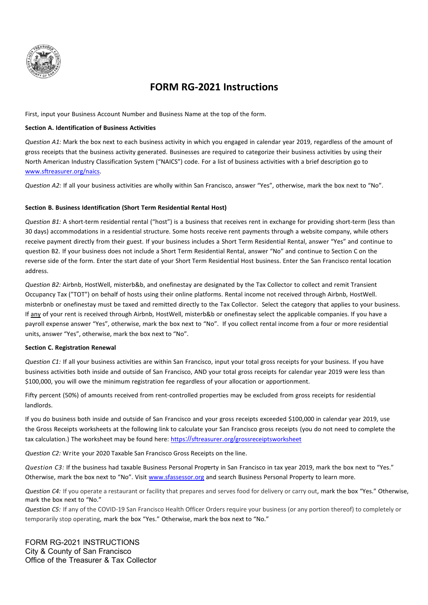

# **FORM RG-2021 Instructions**

First, input your Business Account Number and Business Name at the top of the form.

### **Section A. Identification of Business Activities**

*Question A1:* Mark the box next to each business activity in which you engaged in calendar year 2019, regardless of the amount of gross receipts that the business activity generated. Businesses are required to categorize their business activities by using their North American Industry Classification System ("NAICS") code. For a list of business activities with a brief description go to [www.sftreasurer.org/naics.](http://www.sftreasurer.org/naics)

*Question A2:* If all your business activities are wholly within San Francisco, answer "Yes", otherwise, mark the box next to "No".

### **Section B. Business Identification (Short Term Residential Rental Host)**

*Question B1:* A short-term residential rental ("host") is a business that receives rent in exchange for providing short-term (less than 30 days) accommodations in a residential structure. Some hosts receive rent payments through a website company, while others receive payment directly from their guest. If your business includes a Short Term Residential Rental, answer "Yes" and continue to question B2. If your business does not include a Short Term Residential Rental, answer "No" and continue to Section C on the reverse side of the form. Enter the start date of your Short Term Residential Host business. Enter the San Francisco rental location address.

*Question B2:* Airbnb, HostWell, misterb&b, and onefinestay are designated by the Tax Collector to collect and remit Transient Occupancy Tax ("TOT") on behalf of hosts using their online platforms. Rental income not received through Airbnb, HostWell. misterbnb or onefinestay must be taxed and remitted directly to the Tax Collector. Select the category that applies to your business. If any of your rent is received through Airbnb, HostWell, misterb&b or onefinestay select the applicable companies. If you have a payroll expense answer "Yes", otherwise, mark the box next to "No". If you collect rental income from a four or more residential units, answer "Yes", otherwise, mark the box next to "No".

### **Section C. Registration Renewal**

*Question C1:* If all your business activities are within San Francisco, input your total gross receipts for your business. If you have business activities both inside and outside of San Francisco, AND your total gross receipts for calendar year 2019 were less than \$100,000, you will owe the minimum registration fee regardless of your allocation or apportionment.

Fifty percent (50%) of amounts received from rent-controlled properties may be excluded from gross receipts for residential landlords.

If you do business both inside and outside of San Francisco and your gross receipts exceeded \$100,000 in calendar year 2019, use the Gross Receipts worksheets at the following link to calculate your San Francisco gross receipts (you do not need to complete the tax calculation.) The worksheet may be found here: https://sftreasurer.org/grossreceiptsworksheet

*Question C2:* Write your 2020 Taxable San Francisco Gross Receipts on the line.

*Question C3:* If the business had taxable Business Personal Property in San Francisco in tax year 2019, mark the box next to "Yes." Otherwise, mark the box next to "No". Visit [www.sfassessor.org](http://www.sfassessor.org/) and search Business Personal Property to learn more.

*Question C4:* If you operate a restaurant or facility that prepares and serves food for delivery or carry out, mark the box "Yes." Otherwise, mark the box next to "No."

*Question C5:* If any of the COVID-19 San Francisco Health Officer Orders require your business (or any portion thereof) to completely or temporarily stop operating, mark the box "Yes." Otherwise, mark the box next to "No."

FORM RG-2021 INSTRUCTIONS City & County of San Francisco Office of the Treasurer & Tax Collector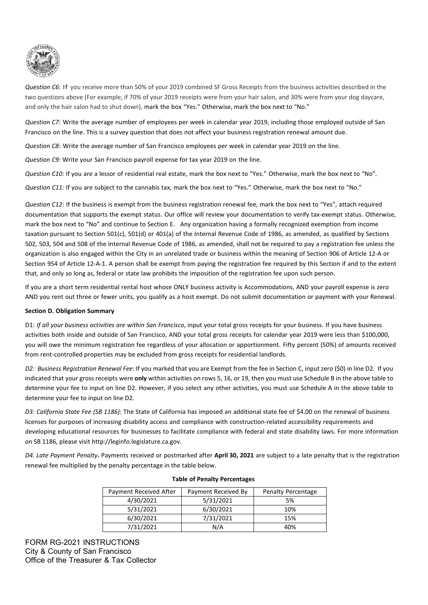

*Question C6*: If you receive more than 50% of your 2019 combined SF Gross Receipts from the business activities described in the two questions above (For example, if 70% of your 2019 receipts were from your hair salon, and 30% were from your dog daycare, and only the hair salon had to shut down), mark the box "Yes." Otherwise, mark the box next to "No."

*Question C7*: Write the average number of employees per week in calendar year 2019, including those employed outside of San Francisco on the line. This is a survey question that does not affect your business registration renewal amount due.

*Question C8*: Write the average number of San Francisco employees per week in calendar year 2019 on the line.

*Question C9:* Write your San Francisco payroll expense for tax year 2019 on the line.

*Question C10*: If you are a lessor of residential real estate, mark the box next to "Yes." Otherwise, mark the box next to "No".

*Question C11:* If you are subject to the cannabis tax, mark the box next to "Yes." Otherwise, mark the box next to "No."

*Question C12*: If the business is exempt from the business registration renewal fee, mark the box next to "Yes", attach required documentation that supports the exempt status. Our office will review your documentation to verify tax-exempt status. Otherwise, mark the box next to "No" and continue to Section E. Any organization having a formally recognized exemption from income taxation pursuant to Section 501(c), 501(d) or 401(a) of the Internal Revenue Code of 1986, as amended, as qualified by Sections 502, 503, 504 and 508 of the Internal Revenue Code of 1986, as amended, shall not be required to pay a registration fee unless the organization is also engaged within the City in an unrelated trade or business within the meaning of Section 906 of Article 12-A or Section 954 of Article 12-A-1. A person shall be exempt from paying the registration fee required by this Section if and to the extent that, and only so long as, federal or state law prohibits the imposition of the registration fee upon such person.

If you are a short term residential rental host whose ONLY business activity is Accommodations, AND your payroll expense is zero AND you rent out three or fewer units, you qualify as a host exempt. Do not submit documentation or payment with your Renewal.

### **Section D. Obligation Summary**

D1: *If all your business activities are within San Francisco*, input your total gross receipts for your business. If you have business activities both inside and outside of San Francisco, AND your total gross receipts for calendar year 2019 were less than \$100,000, you will owe the minimum registration fee regardless of your allocation or apportionment. Fifty percent (50%) of amounts received from rent-controlled properties may be excluded from gross receipts for residential landlords.

*D2: Business Registration Renewal Fee*: If you marked that you are Exempt from the fee in Section C, input zero (\$0) in line D2. If you indicated that your gross receipts were **only** within activities on rows 5, 16, or 19, then you must use Schedule B in the above table to determine your fee to input on line D2. However, if you select any other activities, you must use Schedule A in the above table to determine your fee to input on line D2.

*D3: California State Fee (SB 1186)*: The State of California has imposed an additional state fee of \$4.00 on the renewal of business licenses for purposes of increasing disability access and compliance with construction-related accessibility requirements and developing educational resources for businesses to facilitate compliance with federal and state disability laws. For more information on SB 1186, please visi[t http://leginfo.legislature.ca.gov.](http://leginfo.legislature.ca.gov/)

*D4. Late Payment Penalty***.** Payments received or postmarked after **April 30, 2021** are subject to a late penalty that is the registration renewal fee multiplied by the penalty percentage in the table below.

| Payment Received After | Payment Received By | <b>Penalty Percentage</b> |
|------------------------|---------------------|---------------------------|
| 4/30/2021              | 5/31/2021           | 5%                        |
| 5/31/2021              | 6/30/2021           | 10%                       |
| 6/30/2021              | 7/31/2021           | 15%                       |
| 7/31/2021              | N/A                 | 40%                       |

### **Table of Penalty Percentages**

FORM RG-2021 INSTRUCTIONS City & County of San Francisco Office of the Treasurer & Tax Collector